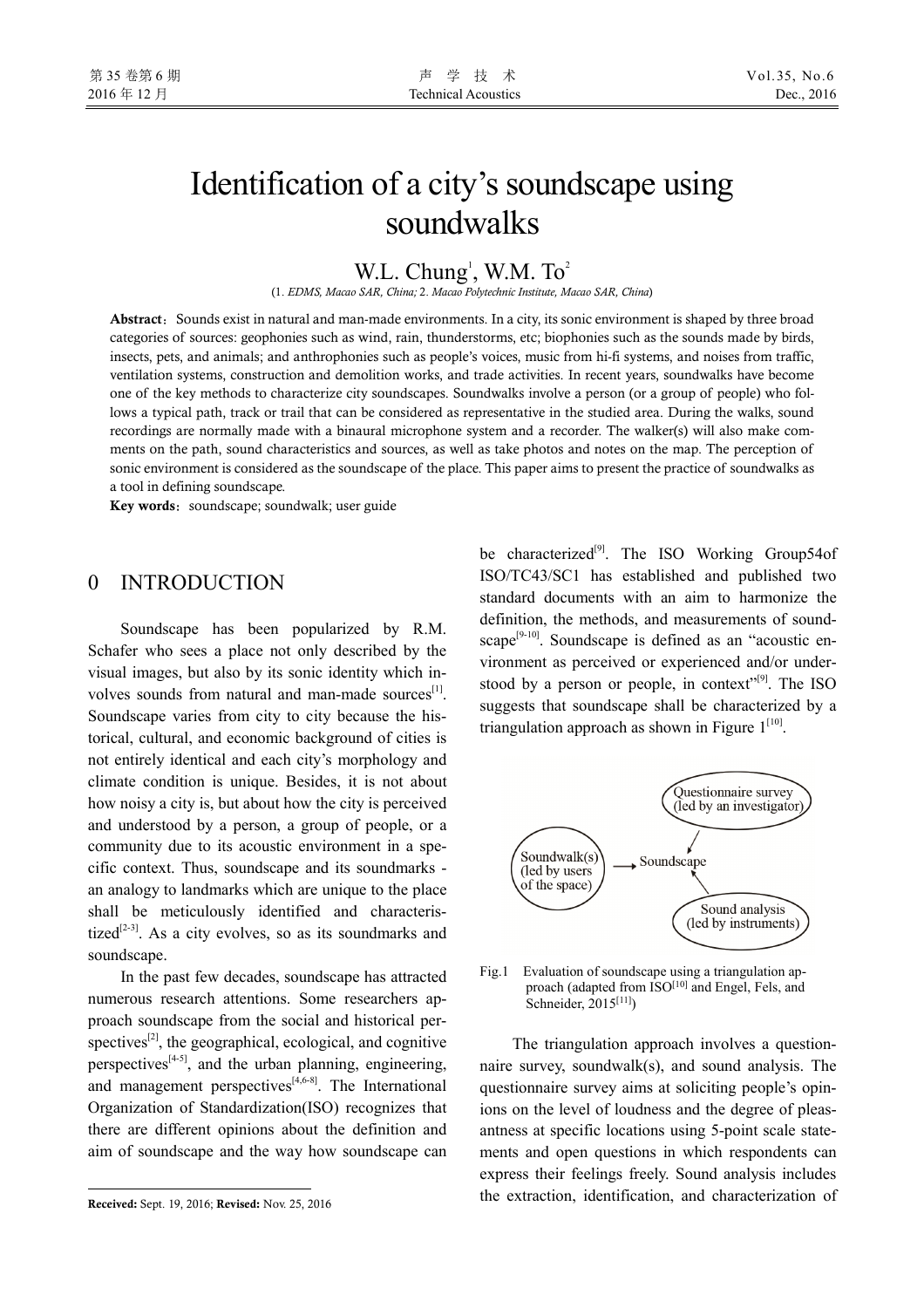# Identification of a city's soundscape using soundwalks

W.L. Chung<sup>1</sup>, W.M.  $To^2$ 

(1. *EDMS, Macao SAR, China;* 2. *Macao Polytechnic Institute, Macao SAR, China*)

Abstract: Sounds exist in natural and man-made environments. In a city, its sonic environment is shaped by three broad categories of sources: geophonies such as wind, rain, thunderstorms, etc; biophonies such as the sounds made by birds, insects, pets, and animals; and anthrophonies such as people's voices, music from hi-fi systems, and noises from traffic, ventilation systems, construction and demolition works, and trade activities. In recent years, soundwalks have become one of the key methods to characterize city soundscapes. Soundwalks involve a person (or a group of people) who follows a typical path, track or trail that can be considered as representative in the studied area. During the walks, sound recordings are normally made with a binaural microphone system and a recorder. The walker(s) will also make comments on the path, sound characteristics and sources, as well as take photos and notes on the map. The perception of sonic environment is considered as the soundscape of the place. This paper aims to present the practice of soundwalks as a tool in defining soundscape.

**Key words:** soundscape; soundwalk; user guide

#### 0 INTRODUCTION

Soundscape has been popularized by R.M. Schafer who sees a place not only described by the visual images, but also by its sonic identity which involves sounds from natural and man-made sources<sup>[1]</sup>. Soundscape varies from city to city because the historical, cultural, and economic background of cities is not entirely identical and each city's morphology and climate condition is unique. Besides, it is not about how noisy a city is, but about how the city is perceived and understood by a person, a group of people, or a community due to its acoustic environment in a specific context. Thus, soundscape and its soundmarks an analogy to landmarks which are unique to the place shall be meticulously identified and characteristized<sup>[2-3]</sup>. As a city evolves, so as its soundmarks and soundscape.

In the past few decades, soundscape has attracted numerous research attentions. Some researchers approach soundscape from the social and historical perspectives $^{[2]}$ , the geographical, ecological, and cognitive perspectives $[4-5]$ , and the urban planning, engineering, and management perspectives $[4,6-8]$ . The International Organization of Standardization(ISO) recognizes that there are different opinions about the definition and aim of soundscape and the way how soundscape can

j

be characterized<sup>[9]</sup>. The ISO Working Group54of ISO/TC43/SC1 has established and published two standard documents with an aim to harmonize the definition, the methods, and measurements of soundscape<sup>[9-10]</sup>. Soundscape is defined as an "acoustic environment as perceived or experienced and/or understood by a person or people, in context"<sup>[9]</sup>. The ISO suggests that soundscape shall be characterized by a triangulation approach as shown in Figure  $1^{[10]}$ .



Fig.1 Evaluation of soundscape using a triangulation approach (adapted from ISO<sup>[10]</sup> and Engel, Fels, and Schneider, 2015[11])

The triangulation approach involves a questionnaire survey, soundwalk(s), and sound analysis. The questionnaire survey aims at soliciting people's opinions on the level of loudness and the degree of pleasantness at specific locations using 5-point scale statements and open questions in which respondents can express their feelings freely. Sound analysis includes the extraction, identification, and characterization of

**Received:** Sept. 19, 2016; **Revised:** Nov. 25, 2016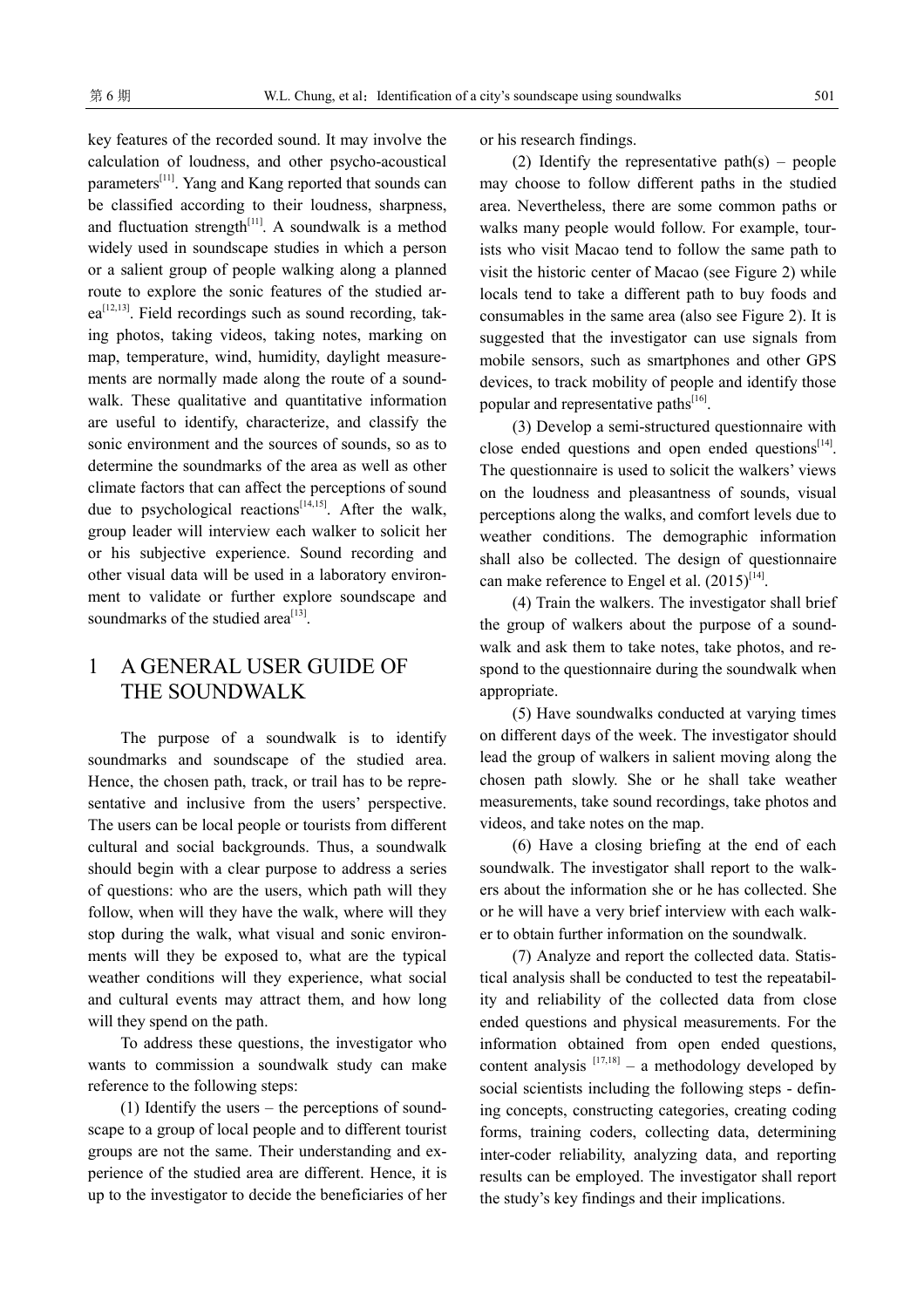key features of the recorded sound. It may involve the calculation of loudness, and other psycho-acoustical parameters[11]. Yang and Kang reported that sounds can be classified according to their loudness, sharpness, and fluctuation strength $[11]$ . A soundwalk is a method widely used in soundscape studies in which a person or a salient group of people walking along a planned route to explore the sonic features of the studied area<sup>[12,13]</sup>. Field recordings such as sound recording, taking photos, taking videos, taking notes, marking on map, temperature, wind, humidity, daylight measurements are normally made along the route of a soundwalk. These qualitative and quantitative information are useful to identify, characterize, and classify the sonic environment and the sources of sounds, so as to determine the soundmarks of the area as well as other climate factors that can affect the perceptions of sound due to psychological reactions<sup>[14,15]</sup>. After the walk, group leader will interview each walker to solicit her or his subjective experience. Sound recording and other visual data will be used in a laboratory environment to validate or further explore soundscape and sound marks of the studied area<sup>[13]</sup>.

### 1 A GENERAL USER GUIDE OF THE SOUNDWALK

The purpose of a soundwalk is to identify soundmarks and soundscape of the studied area. Hence, the chosen path, track, or trail has to be representative and inclusive from the users' perspective. The users can be local people or tourists from different cultural and social backgrounds. Thus, a soundwalk should begin with a clear purpose to address a series of questions: who are the users, which path will they follow, when will they have the walk, where will they stop during the walk, what visual and sonic environments will they be exposed to, what are the typical weather conditions will they experience, what social and cultural events may attract them, and how long will they spend on the path.

To address these questions, the investigator who wants to commission a soundwalk study can make reference to the following steps:

(1) Identify the users – the perceptions of soundscape to a group of local people and to different tourist groups are not the same. Their understanding and experience of the studied area are different. Hence, it is up to the investigator to decide the beneficiaries of her or his research findings.

(2) Identify the representative path $(s)$  – people may choose to follow different paths in the studied area. Nevertheless, there are some common paths or walks many people would follow. For example, tourists who visit Macao tend to follow the same path to visit the historic center of Macao (see Figure 2) while locals tend to take a different path to buy foods and consumables in the same area (also see Figure 2). It is suggested that the investigator can use signals from mobile sensors, such as smartphones and other GPS devices, to track mobility of people and identify those popular and representative paths<sup>[16]</sup>.

(3) Develop a semi-structured questionnaire with close ended questions and open ended questions $[14]$ . The questionnaire is used to solicit the walkers' views on the loudness and pleasantness of sounds, visual perceptions along the walks, and comfort levels due to weather conditions. The demographic information shall also be collected. The design of questionnaire can make reference to Engel et al.  $(2015)^{[14]}$ .

(4) Train the walkers. The investigator shall brief the group of walkers about the purpose of a soundwalk and ask them to take notes, take photos, and respond to the questionnaire during the soundwalk when appropriate.

(5) Have soundwalks conducted at varying times on different days of the week. The investigator should lead the group of walkers in salient moving along the chosen path slowly. She or he shall take weather measurements, take sound recordings, take photos and videos, and take notes on the map.

(6) Have a closing briefing at the end of each soundwalk. The investigator shall report to the walkers about the information she or he has collected. She or he will have a very brief interview with each walker to obtain further information on the soundwalk.

(7) Analyze and report the collected data. Statistical analysis shall be conducted to test the repeatability and reliability of the collected data from close ended questions and physical measurements. For the information obtained from open ended questions, content analysis  $[17,18]$  – a methodology developed by social scientists including the following steps - defining concepts, constructing categories, creating coding forms, training coders, collecting data, determining inter-coder reliability, analyzing data, and reporting results can be employed. The investigator shall report the study's key findings and their implications.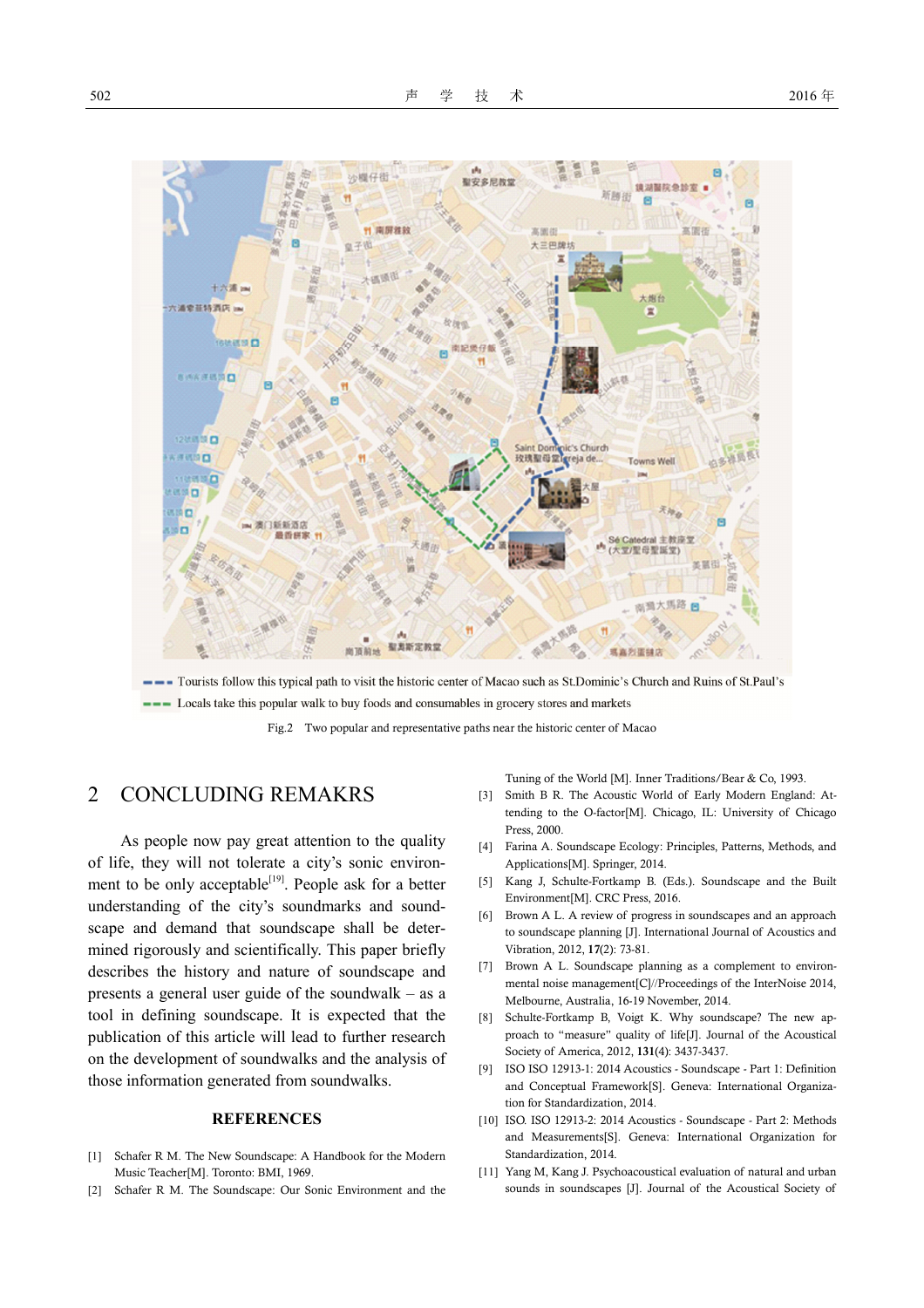

--- Tourists follow this typical path to visit the historic center of Macao such as St.Dominic's Church and Ruins of St.Paul's --- Locals take this popular walk to buy foods and consumables in grocery stores and markets

Fig.2 Two popular and representative paths near the historic center of Macao

### 2 CONCLUDING REMAKRS

As people now pay great attention to the quality of life, they will not tolerate a city's sonic environment to be only acceptable<sup>[19]</sup>. People ask for a better understanding of the city's soundmarks and soundscape and demand that soundscape shall be determined rigorously and scientifically. This paper briefly describes the history and nature of soundscape and presents a general user guide of the soundwalk – as a tool in defining soundscape. It is expected that the publication of this article will lead to further research on the development of soundwalks and the analysis of those information generated from soundwalks.

#### **REFERENCES**

- [1] Schafer R M. The New Soundscape: A Handbook for the Modern Music Teacher[M]. Toronto: BMI, 1969.
- [2] Schafer R M. The Soundscape: Our Sonic Environment and the

Tuning of the World [M]. Inner Traditions/Bear & Co, 1993.

- [3] Smith B R. The Acoustic World of Early Modern England: Attending to the O-factor[M]. Chicago, IL: University of Chicago Press, 2000.
- [4] Farina A. Soundscape Ecology: Principles, Patterns, Methods, and Applications[M]. Springer, 2014.
- [5] Kang J, Schulte-Fortkamp B. (Eds.). Soundscape and the Built Environment[M]. CRC Press, 2016.
- [6] Brown A L. A review of progress in soundscapes and an approach to soundscape planning [J]. International Journal of Acoustics and Vibration, 2012, **17**(2): 73-81.
- [7] Brown A L. Soundscape planning as a complement to environmental noise management[C]//Proceedings of the InterNoise 2014, Melbourne, Australia, 16-19 November, 2014.
- [8] Schulte-Fortkamp B, Voigt K. Why soundscape? The new approach to "measure" quality of life[J]. Journal of the Acoustical Society of America, 2012, **131**(4): 3437-3437.
- [9] ISO ISO 12913-1: 2014 Acoustics Soundscape Part 1: Definition and Conceptual Framework[S]. Geneva: International Organization for Standardization, 2014.
- [10] ISO. ISO 12913-2: 2014 Acoustics Soundscape Part 2: Methods and Measurements[S]. Geneva: International Organization for Standardization, 2014.
- [11] Yang M, Kang J. Psychoacoustical evaluation of natural and urban sounds in soundscapes [J]. Journal of the Acoustical Society of